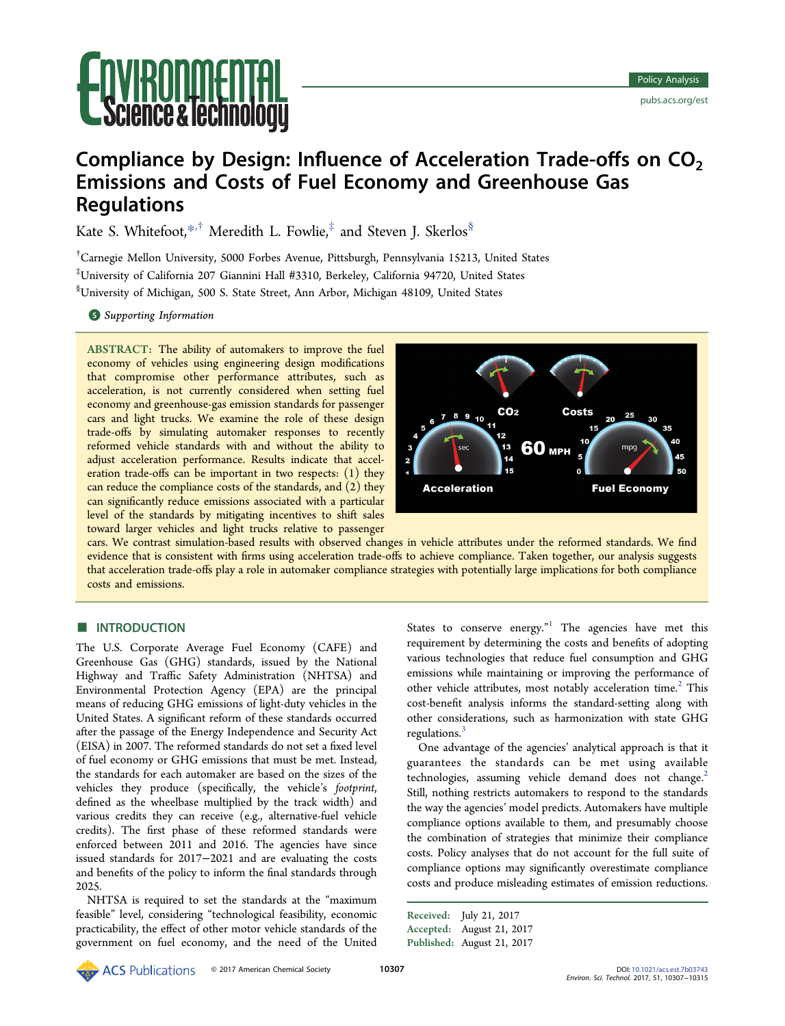# **ice & lechnology**

# Compliance by Design: Influence of Acceleration Trade-offs on  $CO<sub>2</sub>$ Emissions and Costs of Fuel Economy and Greenhouse Gas **Regulations**

Kate S. Whitefoot.<sup>[\\*](#page-7-0)\*†</sup> Meredith L. Fowlie,<sup>‡</sup> and Steven J. Skerlos<sup>§</sup>

† Carnegie Mellon University, 5000 Forbes Avenue, Pittsburgh, Pennsylvania 15213, United States ‡ University of California 207 Giannini Hall #3310, Berkeley, California 94720, United States § University of Michigan, 500 S. State Street, Ann Arbor, Michigan 48109, United States

**S** [Supporting Information](#page-7-0)

ABSTRACT: The ability of automakers to improve the fuel economy of vehicles using engineering design modifications that compromise other performance attributes, such as acceleration, is not currently considered when setting fuel economy and greenhouse-gas emission standards for passenger cars and light trucks. We examine the role of these design trade-offs by simulating automaker responses to recently reformed vehicle standards with and without the ability to adjust acceleration performance. Results indicate that acceleration trade-offs can be important in two respects: (1) they can reduce the compliance costs of the standards, and (2) they can significantly reduce emissions associated with a particular level of the standards by mitigating incentives to shift sales toward larger vehicles and light trucks relative to passenger



cars. We contrast simulation-based results with observed changes in vehicle attributes under the reformed standards. We find evidence that is consistent with firms using acceleration trade-offs to achieve compliance. Taken together, our analysis suggests that acceleration trade-offs play a role in automaker compliance strategies with potentially large implications for both compliance costs and emissions.

# **■ INTRODUCTION**

The U.S. Corporate Average Fuel Economy (CAFE) and Greenhouse Gas (GHG) standards, issued by the National Highway and Traffic Safety Administration (NHTSA) and Environmental Protection Agency (EPA) are the principal means of reducing GHG emissions of light-duty vehicles in the United States. A significant reform of these standards occurred after the passage of the Energy Independence and Security Act (EISA) in 2007. The reformed standards do not set a fixed level of fuel economy or GHG emissions that must be met. Instead, the standards for each automaker are based on the sizes of the vehicles they produce (specifically, the vehicle's footprint, defined as the wheelbase multiplied by the track width) and various credits they can receive (e.g., alternative-fuel vehicle credits). The first phase of these reformed standards were enforced between 2011 and 2016. The agencies have since issued standards for 2017−2021 and are evaluating the costs and benefits of the policy to inform the final standards through 2025.

NHTSA is required to set the standards at the "maximum feasible" level, considering "technological feasibility, economic practicability, the effect of other motor vehicle standards of the government on fuel economy, and the need of the United

States to conserve energy."<sup>[1](#page-7-0)</sup> The agencies have met this requirement by determining the costs and benefits of adopting various technologies that reduce fuel consumption and GHG emissions while maintaining or improving the performance of other vehicle attributes, most notably acceleration time.<sup>[2](#page-7-0)</sup> This cost-benefit analysis informs the standard-setting along with other considerations, such as harmonization with state GHG regulations.[3](#page-7-0)

One advantage of the agencies' analytical approach is that it guarantees the standards can be met using available technologies, assuming vehicle demand does not change.<sup>[2](#page-7-0)</sup> Still, nothing restricts automakers to respond to the standards the way the agencies' model predicts. Automakers have multiple compliance options available to them, and presumably choose the combination of strategies that minimize their compliance costs. Policy analyses that do not account for the full suite of compliance options may significantly overestimate compliance costs and produce misleading estimates of emission reductions.

Received: July 21, 2017 Accepted: August 21, 2017 Published: August 21, 2017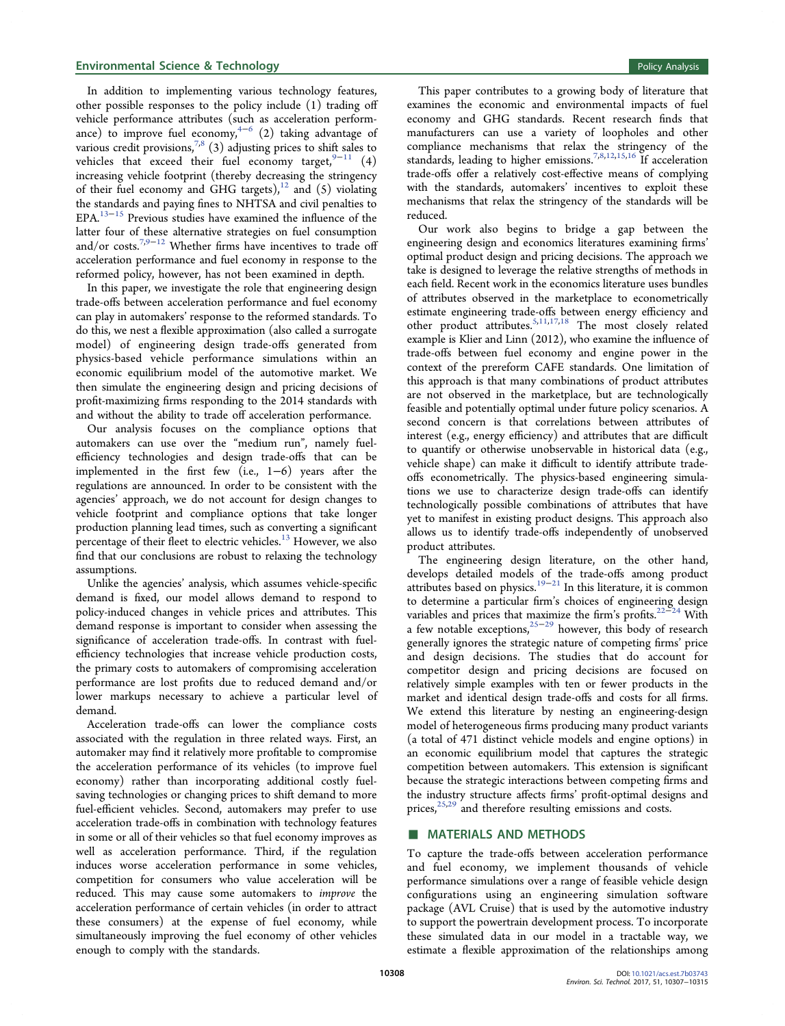In addition to implementing various technology features, other possible responses to the policy include (1) trading off vehicle performance attributes (such as acceleration perform-ance) to improve fuel economy,<sup>[4](#page-7-0)-[6](#page-7-0)</sup> (2) taking advantage of various credit provisions,  $7,8$  $7,8$  $7,8$  (3) adjusting prices to shift sales to vehicles that exceed their fuel economy target,<sup>[9](#page-7-0)−[11](#page-7-0)</sup> (4) increasing vehicle footprint (thereby decreasing the stringency of their fuel economy and GHG targets), $12$  and (5) violating the standards and paying fines to NHTSA and civil penalties to EPA[.13](#page-7-0)<sup>−</sup>[15](#page-7-0) Previous studies have examined the influence of the latter four of these alternative strategies on fuel consumption and/or costs.<sup>[7,9](#page-7-0)−[12](#page-7-0)</sup> Whether firms have incentives to trade off acceleration performance and fuel economy in response to the reformed policy, however, has not been examined in depth.

In this paper, we investigate the role that engineering design trade-offs between acceleration performance and fuel economy can play in automakers' response to the reformed standards. To do this, we nest a flexible approximation (also called a surrogate model) of engineering design trade-offs generated from physics-based vehicle performance simulations within an economic equilibrium model of the automotive market. We then simulate the engineering design and pricing decisions of profit-maximizing firms responding to the 2014 standards with and without the ability to trade off acceleration performance.

Our analysis focuses on the compliance options that automakers can use over the "medium run", namely fuelefficiency technologies and design trade-offs that can be implemented in the first few (i.e., 1−6) years after the regulations are announced. In order to be consistent with the agencies' approach, we do not account for design changes to vehicle footprint and compliance options that take longer production planning lead times, such as converting a significant percentage of their fleet to electric vehicles.<sup>[13](#page-7-0)</sup> However, we also find that our conclusions are robust to relaxing the technology assumptions.

Unlike the agencies' analysis, which assumes vehicle-specific demand is fixed, our model allows demand to respond to policy-induced changes in vehicle prices and attributes. This demand response is important to consider when assessing the significance of acceleration trade-offs. In contrast with fuelefficiency technologies that increase vehicle production costs, the primary costs to automakers of compromising acceleration performance are lost profits due to reduced demand and/or lower markups necessary to achieve a particular level of demand.

Acceleration trade-offs can lower the compliance costs associated with the regulation in three related ways. First, an automaker may find it relatively more profitable to compromise the acceleration performance of its vehicles (to improve fuel economy) rather than incorporating additional costly fuelsaving technologies or changing prices to shift demand to more fuel-efficient vehicles. Second, automakers may prefer to use acceleration trade-offs in combination with technology features in some or all of their vehicles so that fuel economy improves as well as acceleration performance. Third, if the regulation induces worse acceleration performance in some vehicles, competition for consumers who value acceleration will be reduced. This may cause some automakers to improve the acceleration performance of certain vehicles (in order to attract these consumers) at the expense of fuel economy, while simultaneously improving the fuel economy of other vehicles enough to comply with the standards.

This paper contributes to a growing body of literature that examines the economic and environmental impacts of fuel economy and GHG standards. Recent research finds that manufacturers can use a variety of loopholes and other compliance mechanisms that relax the stringency of the standards, leading to higher emissions.<sup>[7,8,12](#page-7-0),[15,16](#page-7-0)</sup> If acceleration trade-offs offer a relatively cost-effective means of complying with the standards, automakers' incentives to exploit these mechanisms that relax the stringency of the standards will be reduced.

Our work also begins to bridge a gap between the engineering design and economics literatures examining firms' optimal product design and pricing decisions. The approach we take is designed to leverage the relative strengths of methods in each field. Recent work in the economics literature uses bundles of attributes observed in the marketplace to econometrically estimate engineering trade-offs between energy efficiency and other product attributes.[5,11](#page-7-0),[17](#page-7-0),[18](#page-7-0) The most closely related example is Klier and Linn (2012), who examine the influence of trade-offs between fuel economy and engine power in the context of the prereform CAFE standards. One limitation of this approach is that many combinations of product attributes are not observed in the marketplace, but are technologically feasible and potentially optimal under future policy scenarios. A second concern is that correlations between attributes of interest (e.g., energy efficiency) and attributes that are difficult to quantify or otherwise unobservable in historical data (e.g., vehicle shape) can make it difficult to identify attribute tradeoffs econometrically. The physics-based engineering simulations we use to characterize design trade-offs can identify technologically possible combinations of attributes that have yet to manifest in existing product designs. This approach also allows us to identify trade-offs independently of unobserved product attributes.

The engineering design literature, on the other hand, develops detailed models of the trade-offs among product attributes based on physics.<sup>[19](#page-7-0)−[21](#page-7-0)</sup> In this literature, it is common to determine a particular firm's choices of engineering design variables and prices that maximize the firm's profits.<sup>[22](#page-7-0)−[24](#page-7-0)</sup> With a few notable exceptions,[25](#page-7-0)−[29](#page-7-0) however, this body of research generally ignores the strategic nature of competing firms' price and design decisions. The studies that do account for competitor design and pricing decisions are focused on relatively simple examples with ten or fewer products in the market and identical design trade-offs and costs for all firms. We extend this literature by nesting an engineering-design model of heterogeneous firms producing many product variants (a total of 471 distinct vehicle models and engine options) in an economic equilibrium model that captures the strategic competition between automakers. This extension is significant because the strategic interactions between competing firms and the industry structure affects firms' profit-optimal designs and prices,<sup>[25](#page-7-0),[29](#page-7-0)</sup> and therefore resulting emissions and costs.

# ■ MATERIALS AND METHODS

To capture the trade-offs between acceleration performance and fuel economy, we implement thousands of vehicle performance simulations over a range of feasible vehicle design configurations using an engineering simulation software package (AVL Cruise) that is used by the automotive industry to support the powertrain development process. To incorporate these simulated data in our model in a tractable way, we estimate a flexible approximation of the relationships among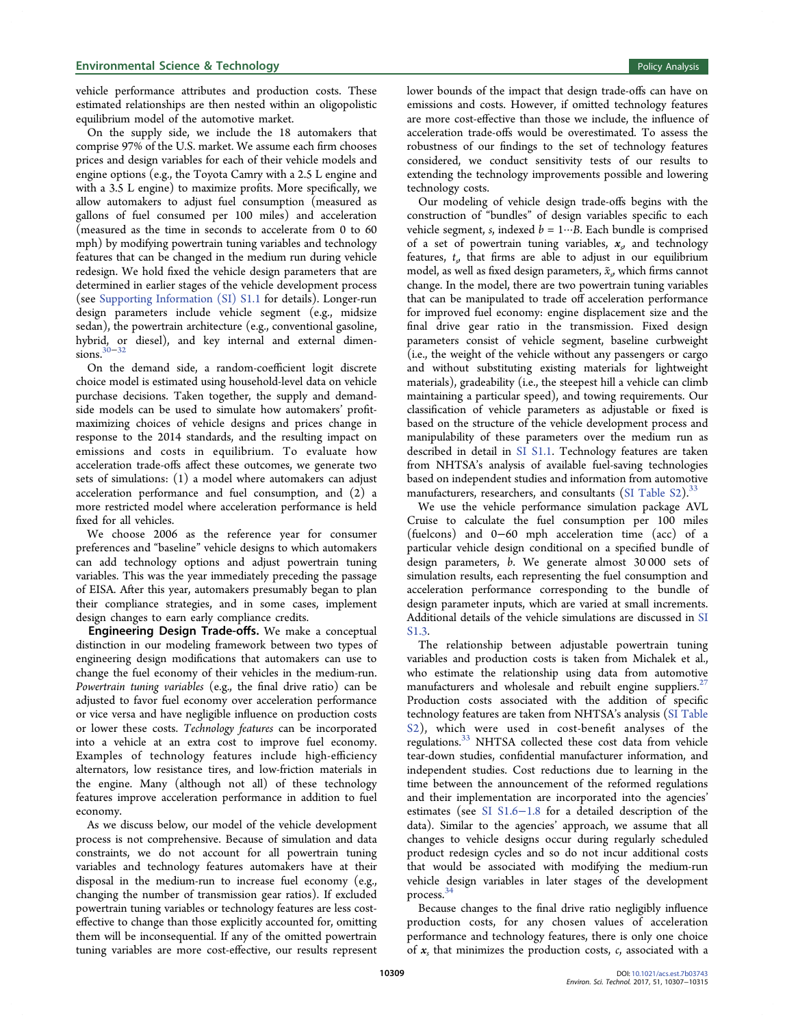vehicle performance attributes and production costs. These estimated relationships are then nested within an oligopolistic equilibrium model of the automotive market.

On the supply side, we include the 18 automakers that comprise 97% of the U.S. market. We assume each firm chooses prices and design variables for each of their vehicle models and engine options (e.g., the Toyota Camry with a 2.5 L engine and with a 3.5 L engine) to maximize profits. More specifically, we allow automakers to adjust fuel consumption (measured as gallons of fuel consumed per 100 miles) and acceleration (measured as the time in seconds to accelerate from 0 to 60 mph) by modifying powertrain tuning variables and technology features that can be changed in the medium run during vehicle redesign. We hold fixed the vehicle design parameters that are determined in earlier stages of the vehicle development process (see [Supporting Information \(SI\) S1.1](http://pubs.acs.org/doi/suppl/10.1021/acs.est.7b03743/suppl_file/es7b03743_si_001.pdf) for details). Longer-run design parameters include vehicle segment (e.g., midsize sedan), the powertrain architecture (e.g., conventional gasoline, hybrid, or diesel), and key internal and external dimensions.[30](#page-7-0)−[32](#page-7-0)

On the demand side, a random-coefficient logit discrete choice model is estimated using household-level data on vehicle purchase decisions. Taken together, the supply and demandside models can be used to simulate how automakers' profitmaximizing choices of vehicle designs and prices change in response to the 2014 standards, and the resulting impact on emissions and costs in equilibrium. To evaluate how acceleration trade-offs affect these outcomes, we generate two sets of simulations: (1) a model where automakers can adjust acceleration performance and fuel consumption, and (2) a more restricted model where acceleration performance is held fixed for all vehicles.

We choose 2006 as the reference year for consumer preferences and "baseline" vehicle designs to which automakers can add technology options and adjust powertrain tuning variables. This was the year immediately preceding the passage of EISA. After this year, automakers presumably began to plan their compliance strategies, and in some cases, implement design changes to earn early compliance credits.

Engineering Design Trade-offs. We make a conceptual distinction in our modeling framework between two types of engineering design modifications that automakers can use to change the fuel economy of their vehicles in the medium-run. Powertrain tuning variables (e.g., the final drive ratio) can be adjusted to favor fuel economy over acceleration performance or vice versa and have negligible influence on production costs or lower these costs. Technology features can be incorporated into a vehicle at an extra cost to improve fuel economy. Examples of technology features include high-efficiency alternators, low resistance tires, and low-friction materials in the engine. Many (although not all) of these technology features improve acceleration performance in addition to fuel economy.

As we discuss below, our model of the vehicle development process is not comprehensive. Because of simulation and data constraints, we do not account for all powertrain tuning variables and technology features automakers have at their disposal in the medium-run to increase fuel economy (e.g., changing the number of transmission gear ratios). If excluded powertrain tuning variables or technology features are less costeffective to change than those explicitly accounted for, omitting them will be inconsequential. If any of the omitted powertrain tuning variables are more cost-effective, our results represent lower bounds of the impact that design trade-offs can have on emissions and costs. However, if omitted technology features are more cost-effective than those we include, the influence of acceleration trade-offs would be overestimated. To assess the robustness of our findings to the set of technology features considered, we conduct sensitivity tests of our results to extending the technology improvements possible and lowering technology costs.

Our modeling of vehicle design trade-offs begins with the construction of "bundles" of design variables specific to each vehicle segment, s, indexed  $b = 1 \cdots B$ . Each bundle is comprised of a set of powertrain tuning variables,  $x<sub>s</sub>$  and technology features,  $t<sub>s</sub>$  that firms are able to adjust in our equilibrium model, as well as fixed design parameters,  $\tilde{x}_s$ , which firms cannot change. In the model, there are two powertrain tuning variables that can be manipulated to trade off acceleration performance for improved fuel economy: engine displacement size and the final drive gear ratio in the transmission. Fixed design parameters consist of vehicle segment, baseline curbweight (i.e., the weight of the vehicle without any passengers or cargo and without substituting existing materials for lightweight materials), gradeability (i.e., the steepest hill a vehicle can climb maintaining a particular speed), and towing requirements. Our classification of vehicle parameters as adjustable or fixed is based on the structure of the vehicle development process and manipulability of these parameters over the medium run as described in detail in [SI S1.1.](http://pubs.acs.org/doi/suppl/10.1021/acs.est.7b03743/suppl_file/es7b03743_si_001.pdf) Technology features are taken from NHTSA's analysis of available fuel-saving technologies based on independent studies and information from automotive manufacturers, researchers, and consultants ([SI Table S2](http://pubs.acs.org/doi/suppl/10.1021/acs.est.7b03743/suppl_file/es7b03743_si_001.pdf)). $^{33}$  $^{33}$  $^{33}$ 

We use the vehicle performance simulation package AVL Cruise to calculate the fuel consumption per 100 miles (fuelcons) and 0−60 mph acceleration time (acc) of a particular vehicle design conditional on a specified bundle of design parameters, b. We generate almost 30 000 sets of simulation results, each representing the fuel consumption and acceleration performance corresponding to the bundle of design parameter inputs, which are varied at small increments. Additional details of the vehicle simulations are discussed in [SI](http://pubs.acs.org/doi/suppl/10.1021/acs.est.7b03743/suppl_file/es7b03743_si_001.pdf) [S1.3.](http://pubs.acs.org/doi/suppl/10.1021/acs.est.7b03743/suppl_file/es7b03743_si_001.pdf)

The relationship between adjustable powertrain tuning variables and production costs is taken from Michalek et al., who estimate the relationship using data from automotive manufacturers and wholesale and rebuilt engine suppliers. $27$ Production costs associated with the addition of specific technology features are taken from NHTSA's analysis ([SI Table](http://pubs.acs.org/doi/suppl/10.1021/acs.est.7b03743/suppl_file/es7b03743_si_001.pdf) [S2](http://pubs.acs.org/doi/suppl/10.1021/acs.est.7b03743/suppl_file/es7b03743_si_001.pdf)), which were used in cost-benefit analyses of the regulations.<sup>[33](#page-7-0)</sup> NHTSA collected these cost data from vehicle tear-down studies, confidential manufacturer information, and independent studies. Cost reductions due to learning in the time between the announcement of the reformed regulations and their implementation are incorporated into the agencies' estimates (see [SI S1.6](http://pubs.acs.org/doi/suppl/10.1021/acs.est.7b03743/suppl_file/es7b03743_si_001.pdf)−1.8 for a detailed description of the data). Similar to the agencies' approach, we assume that all changes to vehicle designs occur during regularly scheduled product redesign cycles and so do not incur additional costs that would be associated with modifying the medium-run vehicle design variables in later stages of the development process.[34](#page-7-0)

Because changes to the final drive ratio negligibly influence production costs, for any chosen values of acceleration performance and technology features, there is only one choice of  $x_s$  that minimizes the production costs,  $c_s$ , associated with a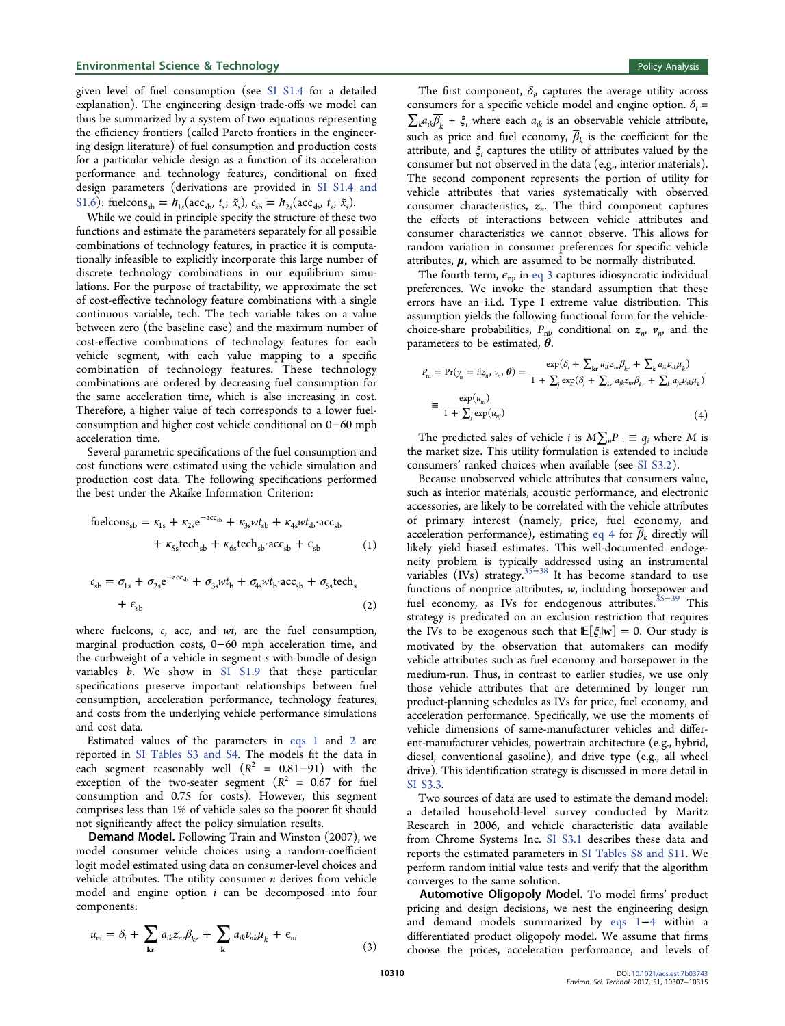## Environmental Science & Technology **Policy Analysis** Policy Analysis

given level of fuel consumption (see [SI S1.4](http://pubs.acs.org/doi/suppl/10.1021/acs.est.7b03743/suppl_file/es7b03743_si_001.pdf) for a detailed explanation). The engineering design trade-offs we model can thus be summarized by a system of two equations representing the efficiency frontiers (called Pareto frontiers in the engineering design literature) of fuel consumption and production costs for a particular vehicle design as a function of its acceleration performance and technology features, conditional on fixed design parameters (derivations are provided in [SI S1.4 and](http://pubs.acs.org/doi/suppl/10.1021/acs.est.7b03743/suppl_file/es7b03743_si_001.pdf) [S1.6\)](http://pubs.acs.org/doi/suppl/10.1021/acs.est.7b03743/suppl_file/es7b03743_si_001.pdf): fuelcons<sub>sb</sub> =  $h_{1s}(\text{acc}_{sb}, t_s; \tilde{x}_s)$ ,  $c_{sb} = h_{2s}(\text{acc}_{sb}, t_s; \tilde{x}_s)$ .

While we could in principle specify the structure of these two functions and estimate the parameters separately for all possible combinations of technology features, in practice it is computationally infeasible to explicitly incorporate this large number of discrete technology combinations in our equilibrium simulations. For the purpose of tractability, we approximate the set of cost-effective technology feature combinations with a single continuous variable, tech. The tech variable takes on a value between zero (the baseline case) and the maximum number of cost-effective combinations of technology features for each vehicle segment, with each value mapping to a specific combination of technology features. These technology combinations are ordered by decreasing fuel consumption for the same acceleration time, which is also increasing in cost. Therefore, a higher value of tech corresponds to a lower fuelconsumption and higher cost vehicle conditional on 0−60 mph acceleration time.

Several parametric specifications of the fuel consumption and cost functions were estimated using the vehicle simulation and production cost data. The following specifications performed the best under the Akaike Information Criterion:

$$
\begin{aligned} \text{fuelcons}_{sb} &= \kappa_{1s} + \kappa_{2s} e^{-\alpha c_{sb}} + \kappa_{3s} w t_{sb} + \kappa_{4s} w t_{sb} \cdot \alpha c_{sb} \\ &+ \kappa_{5s} \text{tech}_{sb} + \kappa_{6s} \text{tech}_{sb} \cdot \alpha c_{sb} + \epsilon_{sb} \end{aligned} \tag{1}
$$

$$
c_{sb} = \sigma_{1s} + \sigma_{2s} e^{-acc_{sb}} + \sigma_{3s} wt_b + \sigma_{4s} wt_b \cdot acc_{sb} + \sigma_{5s} tech_s
$$
  
+  $\epsilon_{sb}$  (2)

where fuelcons,  $c$ , acc, and  $wt$ , are the fuel consumption, marginal production costs, 0−60 mph acceleration time, and the curbweight of a vehicle in segment s with bundle of design variables b. We show in [SI S1.9](http://pubs.acs.org/doi/suppl/10.1021/acs.est.7b03743/suppl_file/es7b03743_si_001.pdf) that these particular specifications preserve important relationships between fuel consumption, acceleration performance, technology features, and costs from the underlying vehicle performance simulations and cost data.

Estimated values of the parameters in eqs 1 and 2 are reported in [SI Tables S3 and S4.](http://pubs.acs.org/doi/suppl/10.1021/acs.est.7b03743/suppl_file/es7b03743_si_001.pdf) The models fit the data in each segment reasonably well  $(R^2 = 0.81-91)$  with the exception of the two-seater segment ( $R^2$  = 0.67 for fuel consumption and 0.75 for costs). However, this segment comprises less than 1% of vehicle sales so the poorer fit should not significantly affect the policy simulation results.

Demand Model. Following Train and Winston (2007), we model consumer vehicle choices using a random-coefficient logit model estimated using data on consumer-level choices and vehicle attributes. The utility consumer  $n$  derives from vehicle model and engine option i can be decomposed into four components:

$$
u_{ni} = \delta_i + \sum_{\mathbf{k}\mathbf{r}} a_{ik} z_{ni} \beta_{kr} + \sum_{\mathbf{k}} a_{ik} \nu_{ni} \mu_k + \epsilon_{ni}
$$
\n(3)

The first component,  $\delta_{ij}$  captures the average utility across consumers for a specific vehicle model and engine option.  $\delta_i$  =  $\sum_{k} a_{ik} \overline{B_{k}}$  +  $\xi_{i}$  where each  $a_{ik}$  is an observable vehicle attribute, such as price and fuel economy,  $\overline{\beta}_k$  is the coefficient for the attribute, and  $\xi$  captures the utility of attributes valued by the consumer but not observed in the data (e.g., interior materials). The second component represents the portion of utility for vehicle attributes that varies systematically with observed consumer characteristics,  $z_n$ . The third component captures the effects of interactions between vehicle attributes and consumer characteristics we cannot observe. This allows for random variation in consumer preferences for specific vehicle attributes,  $\mu$ , which are assumed to be normally distributed.

The fourth term,  $\epsilon_{\rm ni}$ , in eq 3 captures idiosyncratic individual preferences. We invoke the standard assumption that these errors have an i.i.d. Type I extreme value distribution. This assumption yields the following functional form for the vehiclechoice-share probabilities,  $P_{\text{n}i}$  conditional on  $z_n$ ,  $v_n$ , and the parameters to be estimated,  $\theta$ .

$$
P_{ni} = Pr(y_n = iz_n, v_n, \theta) = \frac{\exp(\delta_i + \sum_{\mathbf{kr}} a_{ik} z_m \beta_{kr} + \sum_{\mathbf{k}} a_{ik} z_m \mu_k)}{1 + \sum_j \exp(\delta_j + \sum_{kr} a_{jk} z_n \beta_{kr} + \sum_k a_{jk} \mu_{nk} \mu_k)}
$$
  

$$
\equiv \frac{\exp(u_{ni})}{1 + \sum_j \exp(u_{nj})}
$$
(4)

The predicted sales of vehicle *i* is  $M\sum_{n}P_{\text{in}} \equiv q_i$  where *M* is the market size. This utility formulation is extended to include consumers' ranked choices when available (see [SI S3.2\)](http://pubs.acs.org/doi/suppl/10.1021/acs.est.7b03743/suppl_file/es7b03743_si_001.pdf).

Because unobserved vehicle attributes that consumers value, such as interior materials, acoustic performance, and electronic accessories, are likely to be correlated with the vehicle attributes of primary interest (namely, price, fuel economy, and acceleration performance), estimating eq 4 for  $\overline{\beta}_k$  directly will likely yield biased estimates. This well-documented endogeneity problem is typically addressed using an instrumental variables (IVs) strategy.<sup>[35](#page-8-0)–[38](#page-8-0)</sup> It has become standard to use functions of nonprice attributes,  $w$ , including horsepower and fuel economy, as IVs for endogenous attributes.<sup>[35](#page-8-0)−[39](#page-8-0)</sup> This strategy is predicated on an exclusion restriction that requires the IVs to be exogenous such that  $\mathbb{E}[\xi_i|\mathbf{w}] = 0$ . Our study is motivated by the observation that automakers can modify vehicle attributes such as fuel economy and horsepower in the medium-run. Thus, in contrast to earlier studies, we use only those vehicle attributes that are determined by longer run product-planning schedules as IVs for price, fuel economy, and acceleration performance. Specifically, we use the moments of vehicle dimensions of same-manufacturer vehicles and different-manufacturer vehicles, powertrain architecture (e.g., hybrid, diesel, conventional gasoline), and drive type (e.g., all wheel drive). This identification strategy is discussed in more detail in [SI S3.3.](http://pubs.acs.org/doi/suppl/10.1021/acs.est.7b03743/suppl_file/es7b03743_si_001.pdf)

Two sources of data are used to estimate the demand model: a detailed household-level survey conducted by Maritz Research in 2006, and vehicle characteristic data available from Chrome Systems Inc. [SI S3.1](http://pubs.acs.org/doi/suppl/10.1021/acs.est.7b03743/suppl_file/es7b03743_si_001.pdf) describes these data and reports the estimated parameters in [SI Tables S8 and S11](http://pubs.acs.org/doi/suppl/10.1021/acs.est.7b03743/suppl_file/es7b03743_si_001.pdf). We perform random initial value tests and verify that the algorithm converges to the same solution.

Automotive Oligopoly Model. To model firms' product pricing and design decisions, we nest the engineering design and demand models summarized by eqs 1−4 within a differentiated product oligopoly model. We assume that firms choose the prices, acceleration performance, and levels of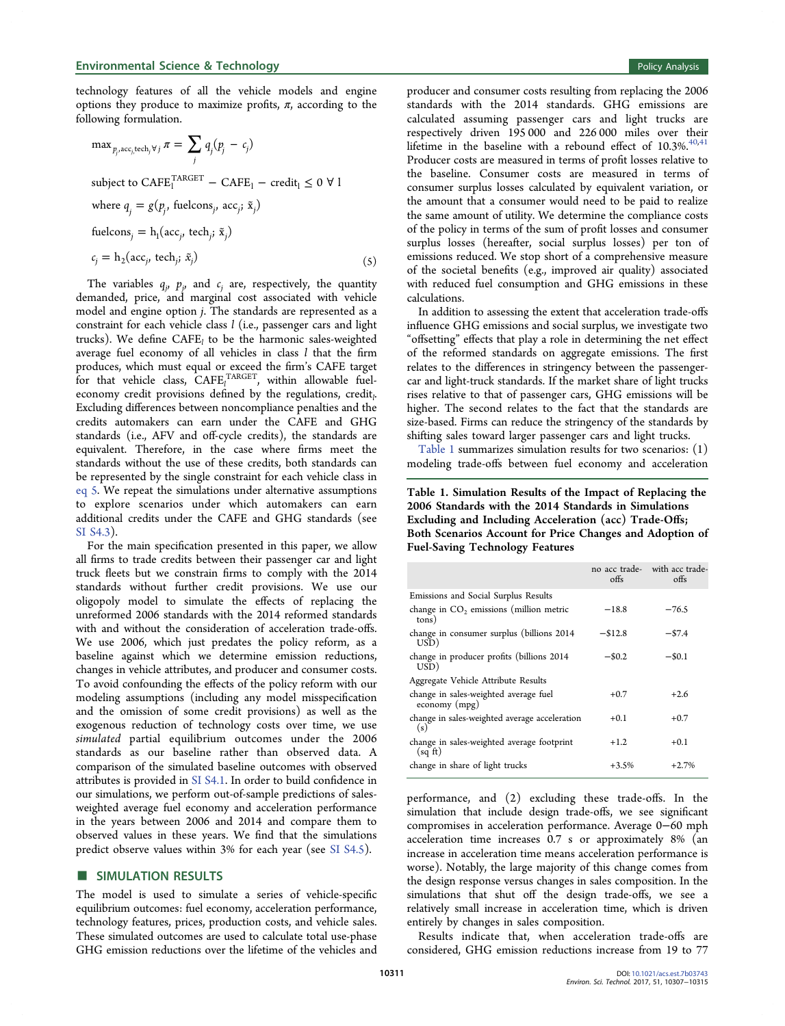technology features of all the vehicle models and engine options they produce to maximize profits,  $\pi$ , according to the following formulation.

$$
\max_{p_j, \text{acc}_j, \text{tech}_j \forall j} \pi = \sum_j q_j (p_j - c_j)
$$
\n
$$
\text{subject to } \text{CAFE}_1^{\text{TAGET}} - \text{CAFE}_1 - \text{credit}_1 \le 0 \forall 1
$$
\n
$$
\text{where } q_j = g(p_j, \text{ fuelcons}_j, \text{ acc}_j; \tilde{x}_j)
$$
\n
$$
\text{fuelcons}_j = h_1(\text{acc}_j, \text{tech}_j; \tilde{x}_j)
$$
\n
$$
c_j = h_2(\text{acc}_j, \text{tech}_j; \tilde{x}_j)
$$

(5)

The variables  $q_j$ ,  $p_j$ , and  $c_j$  are, respectively, the quantity demanded, price, and marginal cost associated with vehicle model and engine option j. The standards are represented as a constraint for each vehicle class  $l$  (i.e., passenger cars and light trucks). We define  $CAFE<sub>l</sub>$  to be the harmonic sales-weighted average fuel economy of all vehicles in class  $l$  that the firm produces, which must equal or exceed the firm's CAFE target for that vehicle class,  $CAFE<sub>l</sub><sup>TARGET</sup>$ , within allowable fueleconomy credit provisions defined by the regulations, credit<sub>1</sub>. . Excluding differences between noncompliance penalties and the credits automakers can earn under the CAFE and GHG standards (i.e., AFV and off-cycle credits), the standards are equivalent. Therefore, in the case where firms meet the standards without the use of these credits, both standards can be represented by the single constraint for each vehicle class in eq 5. We repeat the simulations under alternative assumptions to explore scenarios under which automakers can earn additional credits under the CAFE and GHG standards (see [SI S4.3\)](http://pubs.acs.org/doi/suppl/10.1021/acs.est.7b03743/suppl_file/es7b03743_si_001.pdf).

For the main specification presented in this paper, we allow all firms to trade credits between their passenger car and light truck fleets but we constrain firms to comply with the 2014 standards without further credit provisions. We use our oligopoly model to simulate the effects of replacing the unreformed 2006 standards with the 2014 reformed standards with and without the consideration of acceleration trade-offs. We use 2006, which just predates the policy reform, as a baseline against which we determine emission reductions, changes in vehicle attributes, and producer and consumer costs. To avoid confounding the effects of the policy reform with our modeling assumptions (including any model misspecification and the omission of some credit provisions) as well as the exogenous reduction of technology costs over time, we use simulated partial equilibrium outcomes under the 2006 standards as our baseline rather than observed data. A comparison of the simulated baseline outcomes with observed attributes is provided in [SI S4.1](http://pubs.acs.org/doi/suppl/10.1021/acs.est.7b03743/suppl_file/es7b03743_si_001.pdf). In order to build confidence in our simulations, we perform out-of-sample predictions of salesweighted average fuel economy and acceleration performance in the years between 2006 and 2014 and compare them to observed values in these years. We find that the simulations predict observe values within 3% for each year (see [SI S4.5](http://pubs.acs.org/doi/suppl/10.1021/acs.est.7b03743/suppl_file/es7b03743_si_001.pdf)).

#### **SIMULATION RESULTS**

The model is used to simulate a series of vehicle-specific equilibrium outcomes: fuel economy, acceleration performance, technology features, prices, production costs, and vehicle sales. These simulated outcomes are used to calculate total use-phase GHG emission reductions over the lifetime of the vehicles and

producer and consumer costs resulting from replacing the 2006 standards with the 2014 standards. GHG emissions are calculated assuming passenger cars and light trucks are respectively driven 195 000 and 226 000 miles over their lifetime in the baseline with a rebound effect of  $10.3\%$ .<sup>[40,41](#page-8-0)</sup> Producer costs are measured in terms of profit losses relative to the baseline. Consumer costs are measured in terms of consumer surplus losses calculated by equivalent variation, or the amount that a consumer would need to be paid to realize the same amount of utility. We determine the compliance costs of the policy in terms of the sum of profit losses and consumer surplus losses (hereafter, social surplus losses) per ton of emissions reduced. We stop short of a comprehensive measure of the societal benefits (e.g., improved air quality) associated with reduced fuel consumption and GHG emissions in these calculations.

In addition to assessing the extent that acceleration trade-offs influence GHG emissions and social surplus, we investigate two "offsetting" effects that play a role in determining the net effect of the reformed standards on aggregate emissions. The first relates to the differences in stringency between the passengercar and light-truck standards. If the market share of light trucks rises relative to that of passenger cars, GHG emissions will be higher. The second relates to the fact that the standards are size-based. Firms can reduce the stringency of the standards by shifting sales toward larger passenger cars and light trucks.

Table 1 summarizes simulation results for two scenarios: (1) modeling trade-offs between fuel economy and acceleration

# Table 1. Simulation Results of the Impact of Replacing the 2006 Standards with the 2014 Standards in Simulations Excluding and Including Acceleration (acc) Trade-Offs; Both Scenarios Account for Price Changes and Adoption of Fuel-Saving Technology Features

|                                                        | offs       | no acc trade- with acc trade-<br>offs |
|--------------------------------------------------------|------------|---------------------------------------|
| Emissions and Social Surplus Results                   |            |                                       |
| change in $CO2$ emissions (million metric<br>tons)     | $-18.8$    | $-76.5$                               |
| change in consumer surplus (billions 2014)<br>USD)     | $-$ \$12.8 | $-57.4$                               |
| change in producer profits (billions 2014)<br>USD)     | $-$ \$0.2  | $-$ \$0.1                             |
| Aggregate Vehicle Attribute Results                    |            |                                       |
| change in sales-weighted average fuel<br>economy (mpg) | $+0.7$     | $+2.6$                                |
| change in sales-weighted average acceleration<br>(s)   | $+0.1$     | $+0.7$                                |
| change in sales-weighted average footprint<br>(sq ft)  | $+1.2$     | $+0.1$                                |
| change in share of light trucks                        | $+3.5%$    | $+2.7%$                               |

performance, and (2) excluding these trade-offs. In the simulation that include design trade-offs, we see significant compromises in acceleration performance. Average 0−60 mph acceleration time increases 0.7 s or approximately 8% (an increase in acceleration time means acceleration performance is worse). Notably, the large majority of this change comes from the design response versus changes in sales composition. In the simulations that shut off the design trade-offs, we see a relatively small increase in acceleration time, which is driven entirely by changes in sales composition.

Results indicate that, when acceleration trade-offs are considered, GHG emission reductions increase from 19 to 77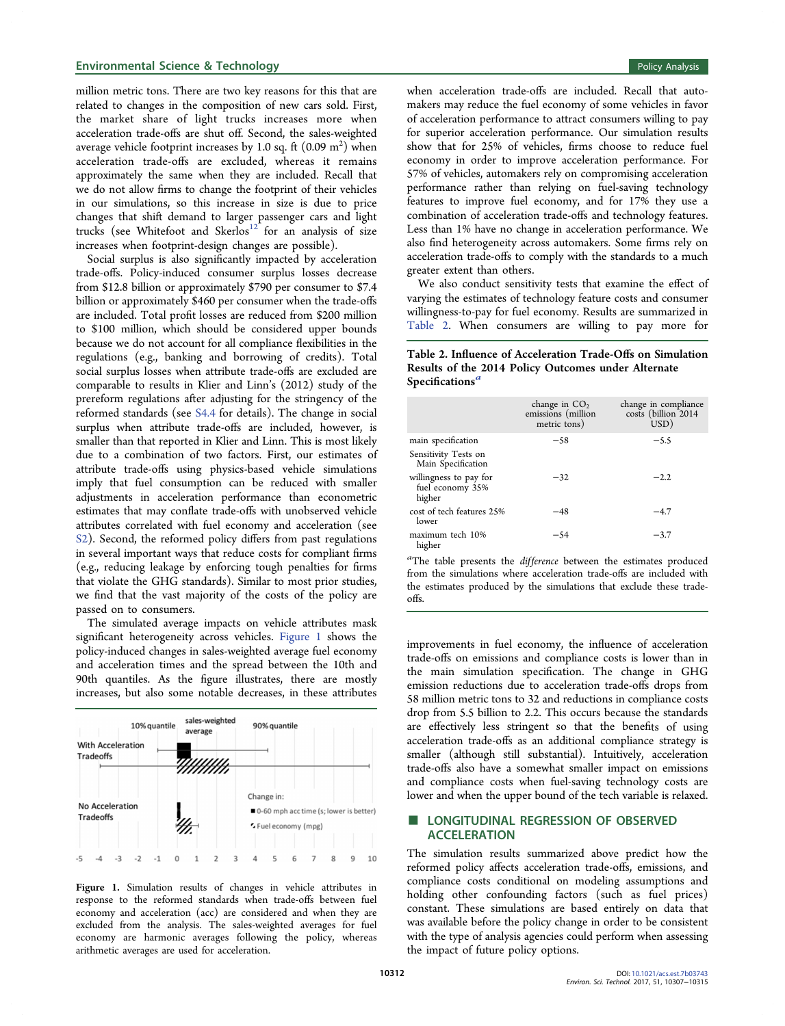#### Environmental Science & Technology **Policy Analysis** Policy Analysis

million metric tons. There are two key reasons for this that are related to changes in the composition of new cars sold. First, the market share of light trucks increases more when acceleration trade-offs are shut off. Second, the sales-weighted average vehicle footprint increases by 1.0 sq. ft  $(0.09 \; \mathrm{m}^2)$  when acceleration trade-offs are excluded, whereas it remains approximately the same when they are included. Recall that we do not allow firms to change the footprint of their vehicles in our simulations, so this increase in size is due to price changes that shift demand to larger passenger cars and light trucks (see Whitefoot and Skerlos<sup>[12](#page-7-0)</sup> for an analysis of size increases when footprint-design changes are possible).

Social surplus is also significantly impacted by acceleration trade-offs. Policy-induced consumer surplus losses decrease from \$12.8 billion or approximately \$790 per consumer to \$7.4 billion or approximately \$460 per consumer when the trade-offs are included. Total profit losses are reduced from \$200 million to \$100 million, which should be considered upper bounds because we do not account for all compliance flexibilities in the regulations (e.g., banking and borrowing of credits). Total social surplus losses when attribute trade-offs are excluded are comparable to results in Klier and Linn's (2012) study of the prereform regulations after adjusting for the stringency of the reformed standards (see [S4.4](http://pubs.acs.org/doi/suppl/10.1021/acs.est.7b03743/suppl_file/es7b03743_si_001.pdf) for details). The change in social surplus when attribute trade-offs are included, however, is smaller than that reported in Klier and Linn. This is most likely due to a combination of two factors. First, our estimates of attribute trade-offs using physics-based vehicle simulations imply that fuel consumption can be reduced with smaller adjustments in acceleration performance than econometric estimates that may conflate trade-offs with unobserved vehicle attributes correlated with fuel economy and acceleration (see [S2\)](http://pubs.acs.org/doi/suppl/10.1021/acs.est.7b03743/suppl_file/es7b03743_si_001.pdf). Second, the reformed policy differs from past regulations in several important ways that reduce costs for compliant firms (e.g., reducing leakage by enforcing tough penalties for firms that violate the GHG standards). Similar to most prior studies, we find that the vast majority of the costs of the policy are passed on to consumers.

The simulated average impacts on vehicle attributes mask significant heterogeneity across vehicles. Figure 1 shows the policy-induced changes in sales-weighted average fuel economy and acceleration times and the spread between the 10th and 90th quantiles. As the figure illustrates, there are mostly increases, but also some notable decreases, in these attributes



Figure 1. Simulation results of changes in vehicle attributes in response to the reformed standards when trade-offs between fuel economy and acceleration (acc) are considered and when they are excluded from the analysis. The sales-weighted averages for fuel economy are harmonic averages following the policy, whereas arithmetic averages are used for acceleration.

when acceleration trade-offs are included. Recall that automakers may reduce the fuel economy of some vehicles in favor of acceleration performance to attract consumers willing to pay for superior acceleration performance. Our simulation results show that for 25% of vehicles, firms choose to reduce fuel economy in order to improve acceleration performance. For 57% of vehicles, automakers rely on compromising acceleration performance rather than relying on fuel-saving technology features to improve fuel economy, and for 17% they use a combination of acceleration trade-offs and technology features. Less than 1% have no change in acceleration performance. We also find heterogeneity across automakers. Some firms rely on acceleration trade-offs to comply with the standards to a much greater extent than others.

We also conduct sensitivity tests that examine the effect of varying the estimates of technology feature costs and consumer willingness-to-pay for fuel economy. Results are summarized in Table 2. When consumers are willing to pay more for

# Table 2. Influence of Acceleration Trade-Offs on Simulation Results of the 2014 Policy Outcomes under Alternate Specifications<sup>a</sup>

|                                                      | change in $CO2$<br>emissions (million<br>metric tons) | change in compliance<br>costs (billion 2014<br>USD) |
|------------------------------------------------------|-------------------------------------------------------|-----------------------------------------------------|
| main specification                                   | $-58$                                                 | $-5.5$                                              |
| Sensitivity Tests on<br>Main Specification           |                                                       |                                                     |
| willingness to pay for<br>fuel economy 35%<br>higher | $-32$                                                 | $-2.2$                                              |
| cost of tech features 2.5%<br>lower                  | -48                                                   | $-4.7$                                              |
| maximum tech 10%<br>higher                           | -54                                                   | $-3.7$                                              |

<sup>a</sup>The table presents the *difference* between the estimates produced from the simulations where acceleration trade-offs are included with the estimates produced by the simulations that exclude these tradeoffs.

improvements in fuel economy, the influence of acceleration trade-offs on emissions and compliance costs is lower than in the main simulation specification. The change in GHG emission reductions due to acceleration trade-offs drops from 58 million metric tons to 32 and reductions in compliance costs drop from 5.5 billion to 2.2. This occurs because the standards are effectively less stringent so that the benefits of using acceleration trade-offs as an additional compliance strategy is smaller (although still substantial). Intuitively, acceleration trade-offs also have a somewhat smaller impact on emissions and compliance costs when fuel-saving technology costs are lower and when the upper bound of the tech variable is relaxed.

# LONGITUDINAL REGRESSION OF OBSERVED ACCELERATION

The simulation results summarized above predict how the reformed policy affects acceleration trade-offs, emissions, and compliance costs conditional on modeling assumptions and holding other confounding factors (such as fuel prices) constant. These simulations are based entirely on data that was available before the policy change in order to be consistent with the type of analysis agencies could perform when assessing the impact of future policy options.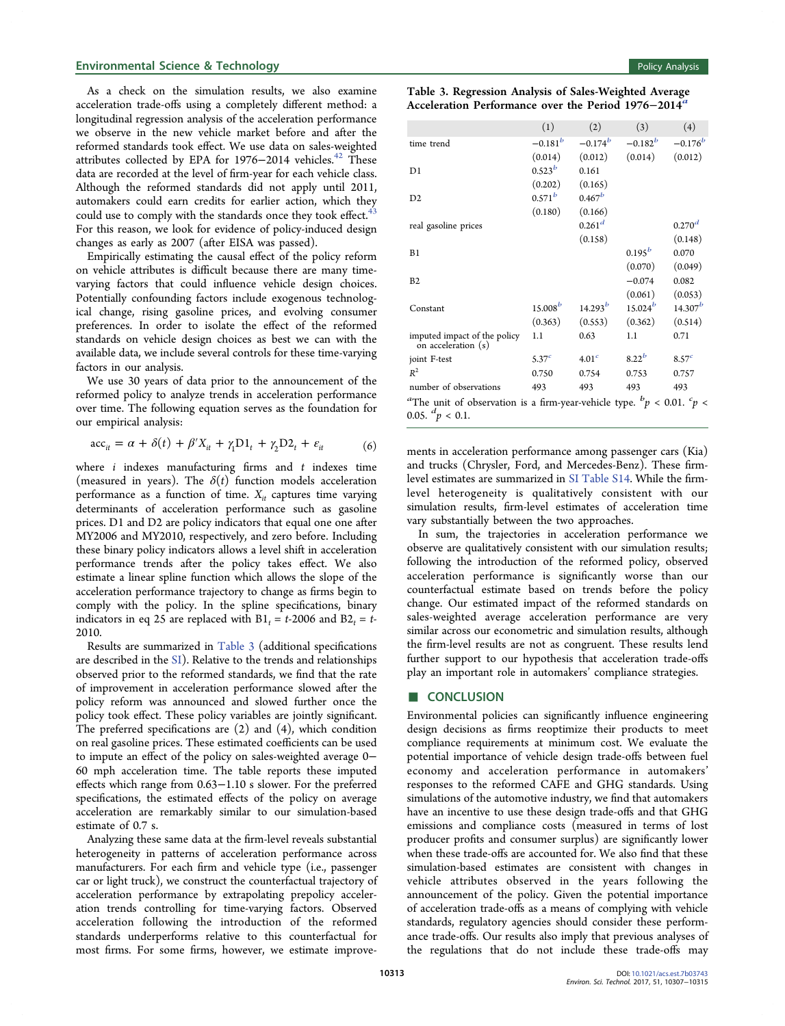As a check on the simulation results, we also examine acceleration trade-offs using a completely different method: a longitudinal regression analysis of the acceleration performance we observe in the new vehicle market before and after the reformed standards took effect. We use data on sales-weighted attributes collected by EPA for 1976-2014 vehicles.<sup>[42](#page-8-0)</sup> These data are recorded at the level of firm-year for each vehicle class. Although the reformed standards did not apply until 2011, automakers could earn credits for earlier action, which they could use to comply with the standards once they took effect. $43$ For this reason, we look for evidence of policy-induced design changes as early as 2007 (after EISA was passed).

Empirically estimating the causal effect of the policy reform on vehicle attributes is difficult because there are many timevarying factors that could influence vehicle design choices. Potentially confounding factors include exogenous technological change, rising gasoline prices, and evolving consumer preferences. In order to isolate the effect of the reformed standards on vehicle design choices as best we can with the available data, we include several controls for these time-varying factors in our analysis.

We use 30 years of data prior to the announcement of the reformed policy to analyze trends in acceleration performance over time. The following equation serves as the foundation for our empirical analysis:

$$
\mathrm{acc}_{it} = \alpha + \delta(t) + \beta' X_{it} + \gamma_1 \mathrm{D} \mathbf{1}_t + \gamma_2 \mathrm{D} \mathbf{2}_t + \varepsilon_{it} \tag{6}
$$

where  $i$  indexes manufacturing firms and  $t$  indexes time (measured in years). The  $\delta(t)$  function models acceleration performance as a function of time.  $X_{it}$  captures time varying determinants of acceleration performance such as gasoline prices. D1 and D2 are policy indicators that equal one one after MY2006 and MY2010, respectively, and zero before. Including these binary policy indicators allows a level shift in acceleration performance trends after the policy takes effect. We also estimate a linear spline function which allows the slope of the acceleration performance trajectory to change as firms begin to comply with the policy. In the spline specifications, binary indicators in eq 25 are replaced with  $B1_t = t-2006$  and  $B2_t = t-$ 2010.

Results are summarized in Table 3 (additional specifications are described in the [SI\)](http://pubs.acs.org/doi/suppl/10.1021/acs.est.7b03743/suppl_file/es7b03743_si_001.pdf). Relative to the trends and relationships observed prior to the reformed standards, we find that the rate of improvement in acceleration performance slowed after the policy reform was announced and slowed further once the policy took effect. These policy variables are jointly significant. The preferred specifications are (2) and (4), which condition on real gasoline prices. These estimated coefficients can be used to impute an effect of the policy on sales-weighted average 0− 60 mph acceleration time. The table reports these imputed effects which range from 0.63−1.10 s slower. For the preferred specifications, the estimated effects of the policy on average acceleration are remarkably similar to our simulation-based estimate of 0.7 s.

Analyzing these same data at the firm-level reveals substantial heterogeneity in patterns of acceleration performance across manufacturers. For each firm and vehicle type (i.e., passenger car or light truck), we construct the counterfactual trajectory of acceleration performance by extrapolating prepolicy acceleration trends controlling for time-varying factors. Observed acceleration following the introduction of the reformed standards underperforms relative to this counterfactual for most firms. For some firms, however, we estimate improve-

|  |  | Policy Analysis |
|--|--|-----------------|
|  |  |                 |
|  |  |                 |
|  |  |                 |
|  |  |                 |

| Table 3. Regression Analysis of Sales-Weighted Average          |  |
|-----------------------------------------------------------------|--|
| Acceleration Performance over the Period 1976–2014 <sup>a</sup> |  |

|                                                                                                                            | (1)               | (2)                | (3)          | (4)               |
|----------------------------------------------------------------------------------------------------------------------------|-------------------|--------------------|--------------|-------------------|
| time trend                                                                                                                 | $-0.181^{b}$      | $-0.174^{b}$       | $-0.182^{b}$ | $-0.176^{b}$      |
|                                                                                                                            | (0.014)           | (0.012)            | (0.014)      | (0.012)           |
| D <sub>1</sub>                                                                                                             | $0.523^{b}$       | 0.161              |              |                   |
|                                                                                                                            | (0.202)           | (0.165)            |              |                   |
| D2                                                                                                                         | $0.571^{b}$       | $0.467^b$          |              |                   |
|                                                                                                                            | (0.180)           | (0.166)            |              |                   |
| real gasoline prices                                                                                                       |                   | 0.261 <sup>d</sup> |              | $0.270^{d}$       |
|                                                                                                                            |                   | (0.158)            |              | (0.148)           |
| B1                                                                                                                         |                   |                    | $0.195^{b}$  | 0.070             |
|                                                                                                                            |                   |                    | (0.070)      | (0.049)           |
| B <sub>2</sub>                                                                                                             |                   |                    | $-0.074$     | 0.082             |
|                                                                                                                            |                   |                    | (0.061)      | (0.053)           |
| Constant                                                                                                                   | $15.008^{b}$      | $14.293^{b}$       | $15.024^{b}$ | $14.307^b$        |
|                                                                                                                            | (0.363)           | (0.553)            | (0.362)      | (0.514)           |
| imputed impact of the policy<br>on acceleration (s)                                                                        | 1.1               | 0.63               | 1.1          | 0.71              |
| joint F-test                                                                                                               | 5.37 <sup>c</sup> | 4.01 <sup>c</sup>  | $8.22^{b}$   | 8.57 <sup>c</sup> |
| $R^2$                                                                                                                      | 0.750             | 0.754              | 0.753        | 0.757             |
| number of observations                                                                                                     | 493               | 493                | 493          | 493               |
| <sup>a</sup> The unit of observation is a firm-year-vehicle type. ${}^{b}p$ < 0.01. ${}^{c}p$ <<br>0.05. ${}^{d}p < 0.1$ . |                   |                    |              |                   |

ments in acceleration performance among passenger cars (Kia) and trucks (Chrysler, Ford, and Mercedes-Benz). These firmlevel estimates are summarized in [SI Table S14](http://pubs.acs.org/doi/suppl/10.1021/acs.est.7b03743/suppl_file/es7b03743_si_001.pdf). While the firmlevel heterogeneity is qualitatively consistent with our simulation results, firm-level estimates of acceleration time vary substantially between the two approaches.

In sum, the trajectories in acceleration performance we observe are qualitatively consistent with our simulation results; following the introduction of the reformed policy, observed acceleration performance is significantly worse than our counterfactual estimate based on trends before the policy change. Our estimated impact of the reformed standards on sales-weighted average acceleration performance are very similar across our econometric and simulation results, although the firm-level results are not as congruent. These results lend further support to our hypothesis that acceleration trade-offs play an important role in automakers' compliance strategies.

#### ■ CONCLUSION

Environmental policies can significantly influence engineering design decisions as firms reoptimize their products to meet compliance requirements at minimum cost. We evaluate the potential importance of vehicle design trade-offs between fuel economy and acceleration performance in automakers' responses to the reformed CAFE and GHG standards. Using simulations of the automotive industry, we find that automakers have an incentive to use these design trade-offs and that GHG emissions and compliance costs (measured in terms of lost producer profits and consumer surplus) are significantly lower when these trade-offs are accounted for. We also find that these simulation-based estimates are consistent with changes in vehicle attributes observed in the years following the announcement of the policy. Given the potential importance of acceleration trade-offs as a means of complying with vehicle standards, regulatory agencies should consider these performance trade-offs. Our results also imply that previous analyses of the regulations that do not include these trade-offs may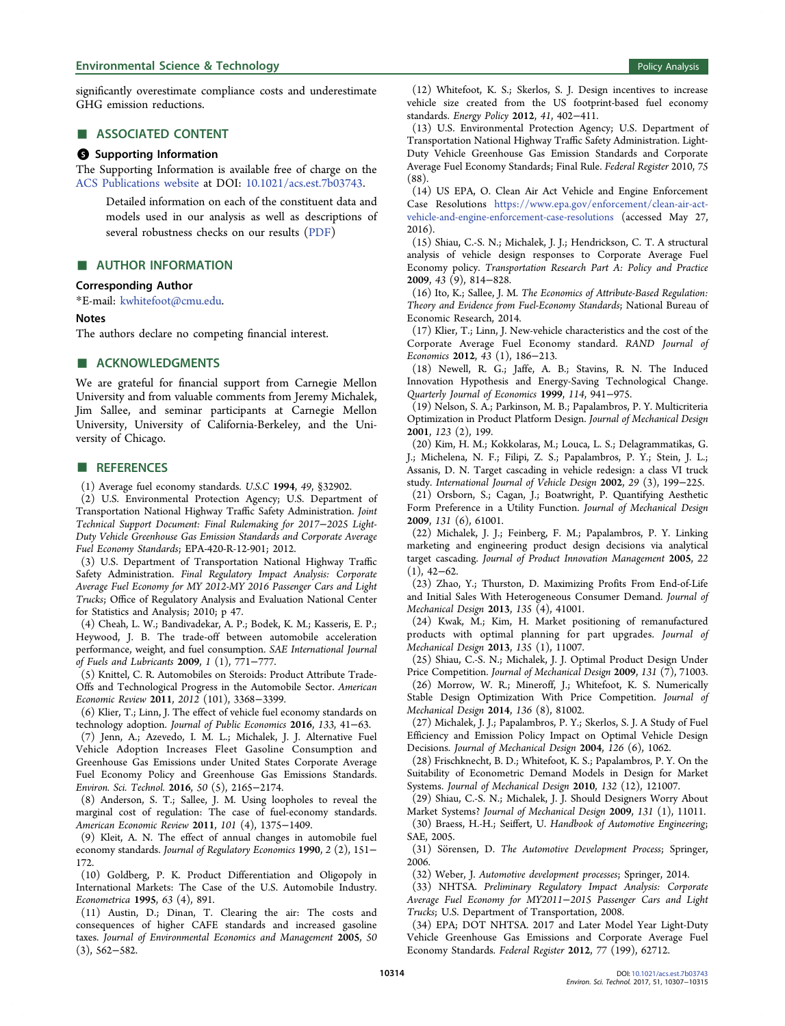<span id="page-7-0"></span>significantly overestimate compliance costs and underestimate GHG emission reductions.

# ■ ASSOCIATED CONTENT

#### **6** Supporting Information

The Supporting Information is available free of charge on the [ACS Publications website](http://pubs.acs.org) at DOI: [10.1021/acs.est.7b03743](http://pubs.acs.org/doi/abs/10.1021/acs.est.7b03743).

Detailed information on each of the constituent data and models used in our analysis as well as descriptions of several robustness checks on our results ([PDF\)](http://pubs.acs.org/doi/suppl/10.1021/acs.est.7b03743/suppl_file/es7b03743_si_001.pdf)

#### ■ AUTHOR INFORMATION

#### Corresponding Author

\*E-mail: [kwhitefoot@cmu.edu.](mailto:kwhitefoot@cmu.edu)

# Notes

The authors declare no competing financial interest.

#### ■ ACKNOWLEDGMENTS

We are grateful for financial support from Carnegie Mellon University and from valuable comments from Jeremy Michalek, Jim Sallee, and seminar participants at Carnegie Mellon University, University of California-Berkeley, and the University of Chicago.

#### ■ REFERENCES

(1) Average fuel economy standards. U.S.C 1994, 49, §32902.

(2) U.S. Environmental Protection Agency; U.S. Department of Transportation National Highway Traffic Safety Administration. Joint Technical Support Document: Final Rulemaking for 2017−2025 Light-Duty Vehicle Greenhouse Gas Emission Standards and Corporate Average Fuel Economy Standards; EPA-420-R-12-901; 2012.

(3) U.S. Department of Transportation National Highway Traffic Safety Administration. Final Regulatory Impact Analysis: Corporate Average Fuel Economy for MY 2012-MY 2016 Passenger Cars and Light Trucks; Office of Regulatory Analysis and Evaluation National Center for Statistics and Analysis; 2010; p 47.

(4) Cheah, L. W.; Bandivadekar, A. P.; Bodek, K. M.; Kasseris, E. P.; Heywood, J. B. The trade-off between automobile acceleration performance, weight, and fuel consumption. SAE International Journal of Fuels and Lubricants 2009, 1 (1), 771−777.

(5) Knittel, C. R. Automobiles on Steroids: Product Attribute Trade-Offs and Technological Progress in the Automobile Sector. American Economic Review 2011, 2012 (101), 3368−3399.

(6) Klier, T.; Linn, J. The effect of vehicle fuel economy standards on technology adoption. Journal of Public Economics 2016, 133, 41−63.

(7) Jenn, A.; Azevedo, I. M. L.; Michalek, J. J. Alternative Fuel Vehicle Adoption Increases Fleet Gasoline Consumption and Greenhouse Gas Emissions under United States Corporate Average Fuel Economy Policy and Greenhouse Gas Emissions Standards. Environ. Sci. Technol. 2016, 50 (5), 2165−2174.

(8) Anderson, S. T.; Sallee, J. M. Using loopholes to reveal the marginal cost of regulation: The case of fuel-economy standards. American Economic Review 2011, 101 (4), 1375−1409.

(9) Kleit, A. N. The effect of annual changes in automobile fuel economy standards. Journal of Regulatory Economics 1990, 2 (2), 151-172.

(10) Goldberg, P. K. Product Differentiation and Oligopoly in International Markets: The Case of the U.S. Automobile Industry. Econometrica 1995, 63 (4), 891.

(11) Austin, D.; Dinan, T. Clearing the air: The costs and consequences of higher CAFE standards and increased gasoline taxes. Journal of Environmental Economics and Management 2005, 50 (3), 562−582.

(12) Whitefoot, K. S.; Skerlos, S. J. Design incentives to increase vehicle size created from the US footprint-based fuel economy standards. Energy Policy 2012, 41, 402−411.

(13) U.S. Environmental Protection Agency; U.S. Department of Transportation National Highway Traffic Safety Administration. Light-Duty Vehicle Greenhouse Gas Emission Standards and Corporate Average Fuel Economy Standards; Final Rule. Federal Register 2010, 75 (88).

(14) US EPA, O. Clean Air Act Vehicle and Engine Enforcement Case Resolutions [https://www.epa.gov/enforcement/clean-air-act](https://www.epa.gov/enforcement/clean-air-act-vehicle-and-engine-enforcement-case-resolutions)[vehicle-and-engine-enforcement-case-resolutions](https://www.epa.gov/enforcement/clean-air-act-vehicle-and-engine-enforcement-case-resolutions) (accessed May 27, 2016).

(15) Shiau, C.-S. N.; Michalek, J. J.; Hendrickson, C. T. A structural analysis of vehicle design responses to Corporate Average Fuel Economy policy. Transportation Research Part A: Policy and Practice 2009, 43 (9), 814−828.

(16) Ito, K.; Sallee, J. M. The Economics of Attribute-Based Regulation: Theory and Evidence from Fuel-Economy Standards; National Bureau of Economic Research, 2014.

(17) Klier, T.; Linn, J. New-vehicle characteristics and the cost of the Corporate Average Fuel Economy standard. RAND Journal of Economics 2012, 43 (1), 186−213.

(18) Newell, R. G.; Jaffe, A. B.; Stavins, R. N. The Induced Innovation Hypothesis and Energy-Saving Technological Change. Quarterly Journal of Economics 1999, 114, 941−975.

(19) Nelson, S. A.; Parkinson, M. B.; Papalambros, P. Y. Multicriteria Optimization in Product Platform Design. Journal of Mechanical Design 2001, 123 (2), 199.

(20) Kim, H. M.; Kokkolaras, M.; Louca, L. S.; Delagrammatikas, G. J.; Michelena, N. F.; Filipi, Z. S.; Papalambros, P. Y.; Stein, J. L.; Assanis, D. N. Target cascading in vehicle redesign: a class VI truck study. International Journal of Vehicle Design 2002, 29 (3), 199−225.

(21) Orsborn, S.; Cagan, J.; Boatwright, P. Quantifying Aesthetic Form Preference in a Utility Function. Journal of Mechanical Design 2009, 131 (6), 61001.

(22) Michalek, J. J.; Feinberg, F. M.; Papalambros, P. Y. Linking marketing and engineering product design decisions via analytical target cascading. Journal of Product Innovation Management 2005, 22  $(1)$ , 42–62.

(23) Zhao, Y.; Thurston, D. Maximizing Profits From End-of-Life and Initial Sales With Heterogeneous Consumer Demand. Journal of Mechanical Design 2013, 135 (4), 41001.

(24) Kwak, M.; Kim, H. Market positioning of remanufactured products with optimal planning for part upgrades. Journal of Mechanical Design 2013, 135 (1), 11007.

(25) Shiau, C.-S. N.; Michalek, J. J. Optimal Product Design Under Price Competition. Journal of Mechanical Design 2009, 131 (7), 71003.

(26) Morrow, W. R.; Mineroff, J.; Whitefoot, K. S. Numerically Stable Design Optimization With Price Competition. Journal of Mechanical Design 2014, 136 (8), 81002.

(27) Michalek, J. J.; Papalambros, P. Y.; Skerlos, S. J. A Study of Fuel Efficiency and Emission Policy Impact on Optimal Vehicle Design Decisions. Journal of Mechanical Design 2004, 126 (6), 1062.

(28) Frischknecht, B. D.; Whitefoot, K. S.; Papalambros, P. Y. On the Suitability of Econometric Demand Models in Design for Market Systems. Journal of Mechanical Design 2010, 132 (12), 121007.

(29) Shiau, C.-S. N.; Michalek, J. J. Should Designers Worry About Market Systems? Journal of Mechanical Design 2009, 131 (1), 11011.

(30) Braess, H.-H.; Seiffert, U. Handbook of Automotive Engineering; SAE, 2005.

(31) Sörensen, D. The Automotive Development Process; Springer, 2006.

(32) Weber, J. Automotive development processes; Springer, 2014.

(33) NHTSA. Preliminary Regulatory Impact Analysis: Corporate Average Fuel Economy for MY2011−2015 Passenger Cars and Light Trucks; U.S. Department of Transportation, 2008.

(34) EPA; DOT NHTSA. 2017 and Later Model Year Light-Duty Vehicle Greenhouse Gas Emissions and Corporate Average Fuel Economy Standards. Federal Register 2012, 77 (199), 62712.